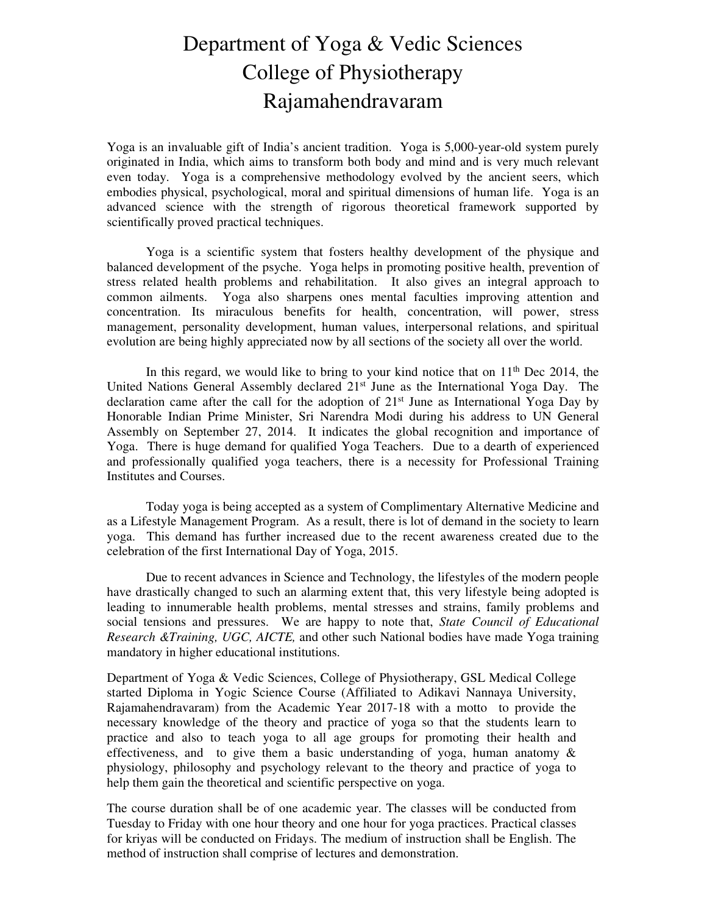## Department of Yoga & Vedic Sciences College of Physiotherapy Rajamahendravaram

Yoga is an invaluable gift of India's ancient tradition. Yoga is 5,000-year-old system purely originated in India, which aims to transform both body and mind and is very much relevant even today. Yoga is a comprehensive methodology evolved by the ancient seers, which embodies physical, psychological, moral and spiritual dimensions of human life. Yoga is an advanced science with the strength of rigorous theoretical framework supported by scientifically proved practical techniques.

Yoga is a scientific system that fosters healthy development of the physique and balanced development of the psyche. Yoga helps in promoting positive health, prevention of stress related health problems and rehabilitation. It also gives an integral approach to common ailments. Yoga also sharpens ones mental faculties improving attention and concentration. Its miraculous benefits for health, concentration, will power, stress management, personality development, human values, interpersonal relations, and spiritual evolution are being highly appreciated now by all sections of the society all over the world.

In this regard, we would like to bring to your kind notice that on  $11<sup>th</sup>$  Dec 2014, the United Nations General Assembly declared 21st June as the International Yoga Day. The declaration came after the call for the adoption of 21st June as International Yoga Day by Honorable Indian Prime Minister, Sri Narendra Modi during his address to UN General Assembly on September 27, 2014. It indicates the global recognition and importance of Yoga. There is huge demand for qualified Yoga Teachers. Due to a dearth of experienced and professionally qualified yoga teachers, there is a necessity for Professional Training Institutes and Courses.

Today yoga is being accepted as a system of Complimentary Alternative Medicine and as a Lifestyle Management Program. As a result, there is lot of demand in the society to learn yoga. This demand has further increased due to the recent awareness created due to the celebration of the first International Day of Yoga, 2015.

Due to recent advances in Science and Technology, the lifestyles of the modern people have drastically changed to such an alarming extent that, this very lifestyle being adopted is leading to innumerable health problems, mental stresses and strains, family problems and social tensions and pressures. We are happy to note that, *State Council of Educational Research &Training, UGC, AICTE,* and other such National bodies have made Yoga training mandatory in higher educational institutions.

Department of Yoga & Vedic Sciences, College of Physiotherapy, GSL Medical College started Diploma in Yogic Science Course (Affiliated to Adikavi Nannaya University, Rajamahendravaram) from the Academic Year 2017-18 with a motto to provide the necessary knowledge of the theory and practice of yoga so that the students learn to practice and also to teach yoga to all age groups for promoting their health and effectiveness, and to give them a basic understanding of yoga, human anatomy  $\&$ physiology, philosophy and psychology relevant to the theory and practice of yoga to help them gain the theoretical and scientific perspective on yoga.

The course duration shall be of one academic year. The classes will be conducted from Tuesday to Friday with one hour theory and one hour for yoga practices. Practical classes for kriyas will be conducted on Fridays. The medium of instruction shall be English. The method of instruction shall comprise of lectures and demonstration.